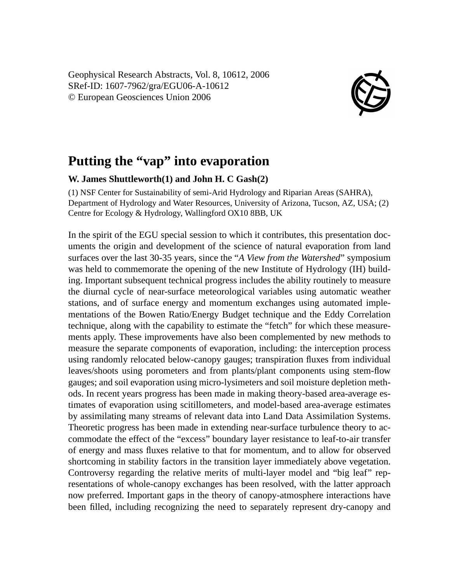Geophysical Research Abstracts, Vol. 8, 10612, 2006 SRef-ID: 1607-7962/gra/EGU06-A-10612 © European Geosciences Union 2006



## **Putting the "vap" into evaporation**

## **W. James Shuttleworth(1) and John H. C Gash(2)**

(1) NSF Center for Sustainability of semi-Arid Hydrology and Riparian Areas (SAHRA), Department of Hydrology and Water Resources, University of Arizona, Tucson, AZ, USA; (2) Centre for Ecology & Hydrology, Wallingford OX10 8BB, UK

In the spirit of the EGU special session to which it contributes, this presentation documents the origin and development of the science of natural evaporation from land surfaces over the last 30-35 years, since the "*A View from the Watershed*" symposium was held to commemorate the opening of the new Institute of Hydrology (IH) building. Important subsequent technical progress includes the ability routinely to measure the diurnal cycle of near-surface meteorological variables using automatic weather stations, and of surface energy and momentum exchanges using automated implementations of the Bowen Ratio/Energy Budget technique and the Eddy Correlation technique, along with the capability to estimate the "fetch" for which these measurements apply. These improvements have also been complemented by new methods to measure the separate components of evaporation, including: the interception process using randomly relocated below-canopy gauges; transpiration fluxes from individual leaves/shoots using porometers and from plants/plant components using stem-flow gauges; and soil evaporation using micro-lysimeters and soil moisture depletion methods. In recent years progress has been made in making theory-based area-average estimates of evaporation using scitillometers, and model-based area-average estimates by assimilating many streams of relevant data into Land Data Assimilation Systems. Theoretic progress has been made in extending near-surface turbulence theory to accommodate the effect of the "excess" boundary layer resistance to leaf-to-air transfer of energy and mass fluxes relative to that for momentum, and to allow for observed shortcoming in stability factors in the transition layer immediately above vegetation. Controversy regarding the relative merits of multi-layer model and "big leaf" representations of whole-canopy exchanges has been resolved, with the latter approach now preferred. Important gaps in the theory of canopy-atmosphere interactions have been filled, including recognizing the need to separately represent dry-canopy and